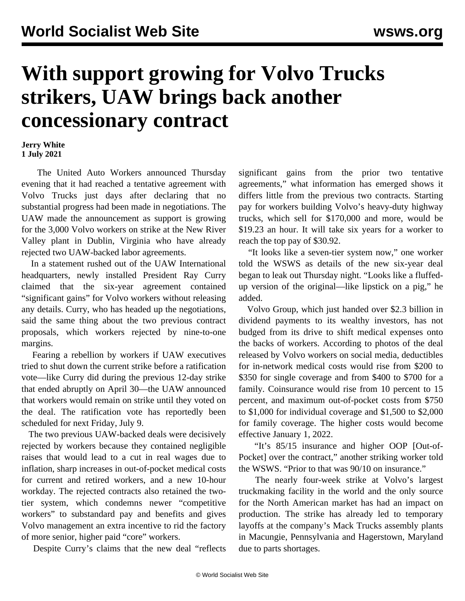## **With support growing for Volvo Trucks strikers, UAW brings back another concessionary contract**

## **Jerry White 1 July 2021**

 The United Auto Workers announced Thursday evening that it had reached a tentative agreement with Volvo Trucks just days after declaring that no substantial progress had been made in negotiations. The UAW made the announcement as support is growing for the 3,000 Volvo workers on strike at the New River Valley plant in Dublin, Virginia who have already rejected two UAW-backed labor agreements.

 In a statement rushed out of the UAW International headquarters, newly installed President Ray Curry claimed that the six-year agreement contained "significant gains" for Volvo workers without releasing any details. Curry, who has headed up the negotiations, said the same thing about the two previous contract proposals, which workers rejected by nine-to-one margins.

 Fearing a rebellion by workers if UAW executives tried to shut down the current strike before a ratification vote—like Curry did during the previous 12-day strike that ended abruptly on April 30—the UAW announced that workers would remain on strike until they voted on the deal. The ratification vote has reportedly been scheduled for next Friday, July 9.

 The two previous UAW-backed deals were decisively rejected by workers because they contained negligible raises that would lead to a cut in real wages due to inflation, sharp increases in out-of-pocket medical costs for current and retired workers, and a new 10-hour workday. The rejected contracts also retained the twotier system, which condemns newer "competitive workers" to substandard pay and benefits and gives Volvo management an extra incentive to rid the factory of more senior, higher paid "core" workers.

Despite Curry's claims that the new deal "reflects

significant gains from the prior two tentative agreements," what information has emerged shows it differs little from the previous two contracts. Starting pay for workers building Volvo's heavy-duty highway trucks, which sell for \$170,000 and more, would be \$19.23 an hour. It will take six years for a worker to reach the top pay of \$30.92.

 "It looks like a seven-tier system now," one worker told the WSWS as details of the new six-year deal began to leak out Thursday night. "Looks like a fluffedup version of the original—like lipstick on a pig," he added.

 Volvo Group, which just handed over \$2.3 billion in dividend payments to its wealthy investors, has not budged from its drive to shift medical expenses onto the backs of workers. According to photos of the deal released by Volvo workers on social media, deductibles for in-network medical costs would rise from \$200 to \$350 for single coverage and from \$400 to \$700 for a family. Coinsurance would rise from 10 percent to 15 percent, and maximum out-of-pocket costs from \$750 to \$1,000 for individual coverage and \$1,500 to \$2,000 for family coverage. The higher costs would become effective January 1, 2022.

 "It's 85/15 insurance and higher OOP [Out-of-Pocket] over the contract," another striking worker told the WSWS. "Prior to that was 90/10 on insurance."

 The nearly four-week strike at Volvo's largest truckmaking facility in the world and the only source for the North American market has had an impact on production. The strike has already led to temporary layoffs at the company's Mack Trucks assembly plants in Macungie, Pennsylvania and Hagerstown, Maryland due to parts shortages.